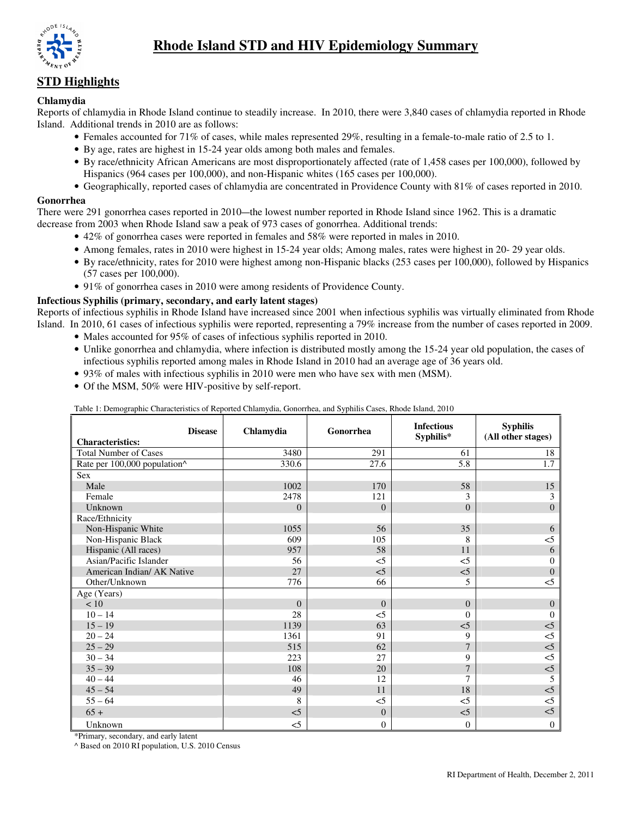

# **Rhode Island STD and HIV Epidemiology Summary**

## **STD Highlights**

## **Chlamydia**

Reports of chlamydia in Rhode Island continue to steadily increase. In 2010, there were 3,840 cases of chlamydia reported in Rhode Island. Additional trends in 2010 are as follows:

- Females accounted for 71% of cases, while males represented 29%, resulting in a female-to-male ratio of 2.5 to 1.
- By age, rates are highest in 15-24 year olds among both males and females.
- By race/ethnicity African Americans are most disproportionately affected (rate of 1,458 cases per 100,000), followed by Hispanics (964 cases per 100,000), and non-Hispanic whites (165 cases per 100,000).
- Geographically, reported cases of chlamydia are concentrated in Providence County with 81% of cases reported in 2010.

## **Gonorrhea**

There were 291 gonorrhea cases reported in 2010—the lowest number reported in Rhode Island since 1962. This is a dramatic decrease from 2003 when Rhode Island saw a peak of 973 cases of gonorrhea. Additional trends:

- 42% of gonorrhea cases were reported in females and 58% were reported in males in 2010.
- Among females, rates in 2010 were highest in 15-24 year olds; Among males, rates were highest in 20- 29 year olds.
- By race/ethnicity, rates for 2010 were highest among non-Hispanic blacks (253 cases per 100,000), followed by Hispanics (57 cases per 100,000).
- 91% of gonorrhea cases in 2010 were among residents of Providence County.

## **Infectious Syphilis (primary, secondary, and early latent stages)**

Reports of infectious syphilis in Rhode Island have increased since 2001 when infectious syphilis was virtually eliminated from Rhode Island. In 2010, 61 cases of infectious syphilis were reported, representing a 79% increase from the number of cases reported in 2009.

- Males accounted for 95% of cases of infectious syphilis reported in 2010.
- Unlike gonorrhea and chlamydia, where infection is distributed mostly among the 15-24 year old population, the cases of infectious syphilis reported among males in Rhode Island in 2010 had an average age of 36 years old.
- 93% of males with infectious syphilis in 2010 were men who have sex with men (MSM).
- Of the MSM, 50% were HIV-positive by self-report.

| Table 1. Demographic Characteristics of Reported Chiamyula, Conomica, and Syphins Cases, Rhoue Island, 2010 |           |              |                                |                                       |  |  |  |  |
|-------------------------------------------------------------------------------------------------------------|-----------|--------------|--------------------------------|---------------------------------------|--|--|--|--|
| <b>Disease</b><br><b>Characteristics:</b>                                                                   | Chlamydia | Gonorrhea    | <b>Infectious</b><br>Syphilis* | <b>Syphilis</b><br>(All other stages) |  |  |  |  |
| <b>Total Number of Cases</b>                                                                                | 3480      | 291          | 61                             | 18                                    |  |  |  |  |
|                                                                                                             |           |              |                                |                                       |  |  |  |  |
| Rate per 100,000 population^                                                                                | 330.6     | 27.6         | 5.8                            | 1.7                                   |  |  |  |  |
| Sex                                                                                                         |           |              |                                |                                       |  |  |  |  |
| Male                                                                                                        | 1002      | 170          | 58                             | 15                                    |  |  |  |  |
| Female                                                                                                      | 2478      | 121          | 3                              | 3                                     |  |  |  |  |
| Unknown                                                                                                     | $\theta$  | $\Omega$     | $\Omega$                       | $\mathbf{0}$                          |  |  |  |  |
| Race/Ethnicity                                                                                              |           |              |                                |                                       |  |  |  |  |
| Non-Hispanic White                                                                                          | 1055      | 56           | 35                             | 6                                     |  |  |  |  |
| Non-Hispanic Black                                                                                          | 609       | 105          | 8                              | $<$ 5                                 |  |  |  |  |
| Hispanic (All races)                                                                                        | 957       | 58           | 11                             | 6                                     |  |  |  |  |
| Asian/Pacific Islander                                                                                      | 56        | $<$ 5        | $<$ 5                          | $\mathbf{0}$                          |  |  |  |  |
| American Indian/ AK Native                                                                                  | 27        | $\leq$ 5     | $\leq$ 5                       | $\mathbf{0}$                          |  |  |  |  |
| Other/Unknown                                                                                               | 776       | 66           | 5                              | $<$ 5                                 |  |  |  |  |
| Age (Years)                                                                                                 |           |              |                                |                                       |  |  |  |  |
| < 10                                                                                                        | $\Omega$  | $\Omega$     | $\theta$                       | $\mathbf{0}$                          |  |  |  |  |
| $10 - 14$                                                                                                   | 28        | $<$ 5        | $\Omega$                       | $\Omega$                              |  |  |  |  |
| $15 - 19$                                                                                                   | 1139      | 63           | $<$ 5                          | $<$ 5                                 |  |  |  |  |
| $20 - 24$                                                                                                   | 1361      | 91           | 9                              | $<$ 5                                 |  |  |  |  |
| $25 - 29$                                                                                                   | 515       | 62           | $\overline{7}$                 | $\leq$                                |  |  |  |  |
| $30 - 34$                                                                                                   | 223       | 27           | 9                              | $\leq$                                |  |  |  |  |
| $35 - 39$                                                                                                   | 108       | 20           | $\overline{7}$                 | $\leq$                                |  |  |  |  |
| $40 - 44$                                                                                                   | 46        | 12           | 7                              | 5                                     |  |  |  |  |
| $45 - 54$                                                                                                   | 49        | 11           | 18                             | $\leq$                                |  |  |  |  |
| $55 - 64$                                                                                                   | 8         | $<$ 5        | $\leq$ 5                       | $<$ 5                                 |  |  |  |  |
| $65+$                                                                                                       | $<$ 5     | $\mathbf{0}$ | $<$ 5                          | $\leq$                                |  |  |  |  |
| Unknown                                                                                                     | $<$ 5     | $\mathbf{0}$ | $\overline{0}$                 | $\mathbf{0}$                          |  |  |  |  |

Table 1: Demographic Characteristics of Reported Chlamydia, Gonorrhea, and Syphilis Cases, Rhode Island, 2010

\*Primary, secondary, and early latent

^ Based on 2010 RI population, U.S. 2010 Census